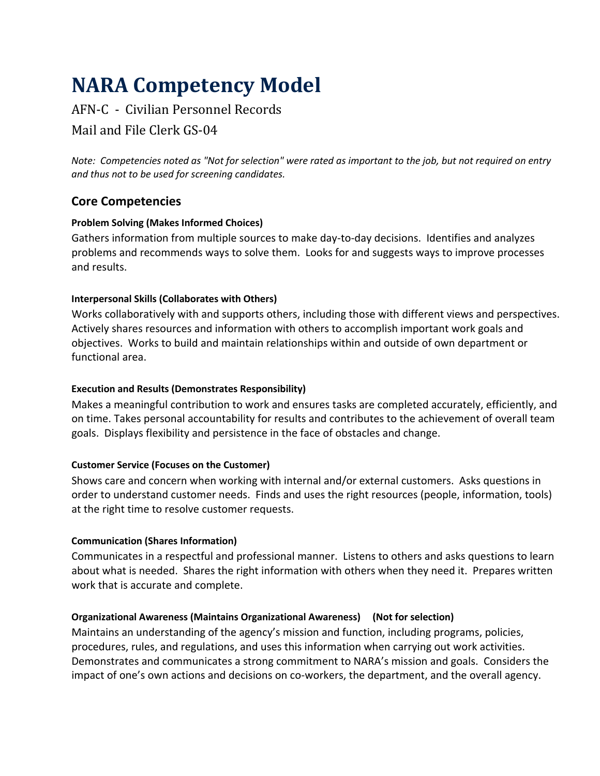# **NARA Competency Model**

## AFN-C - Civilian Personnel Records

Mail and File Clerk GS-04

*Note: Competencies noted as "Not for selection" were rated as important to the job, but not required on entry and thus not to be used for screening candidates.*

## **Core Competencies**

## **Problem Solving (Makes Informed Choices)**

Gathers information from multiple sources to make day-to-day decisions. Identifies and analyzes problems and recommends ways to solve them. Looks for and suggests ways to improve processes and results.

## **Interpersonal Skills (Collaborates with Others)**

Works collaboratively with and supports others, including those with different views and perspectives. Actively shares resources and information with others to accomplish important work goals and objectives. Works to build and maintain relationships within and outside of own department or functional area.

#### **Execution and Results (Demonstrates Responsibility)**

Makes a meaningful contribution to work and ensures tasks are completed accurately, efficiently, and on time. Takes personal accountability for results and contributes to the achievement of overall team goals. Displays flexibility and persistence in the face of obstacles and change.

#### **Customer Service (Focuses on the Customer)**

Shows care and concern when working with internal and/or external customers. Asks questions in order to understand customer needs. Finds and uses the right resources (people, information, tools) at the right time to resolve customer requests.

#### **Communication (Shares Information)**

Communicates in a respectful and professional manner. Listens to others and asks questions to learn about what is needed. Shares the right information with others when they need it. Prepares written work that is accurate and complete.

#### **Organizational Awareness (Maintains Organizational Awareness) (Not for selection)**

Maintains an understanding of the agency's mission and function, including programs, policies, procedures, rules, and regulations, and uses this information when carrying out work activities. Demonstrates and communicates a strong commitment to NARA's mission and goals. Considers the impact of one's own actions and decisions on co-workers, the department, and the overall agency.